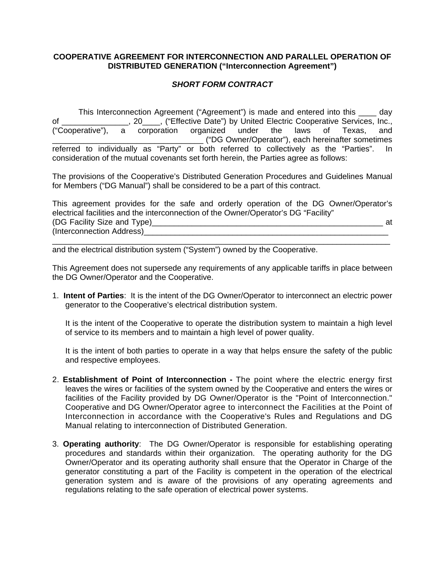## **COOPERATIVE AGREEMENT FOR INTERCONNECTION AND PARALLEL OPERATION OF DISTRIBUTED GENERATION ("Interconnection Agreement")**

## *SHORT FORM CONTRACT*

 This Interconnection Agreement ("Agreement") is made and entered into this \_\_\_\_ day of \_\_\_\_\_\_\_\_\_\_\_\_\_\_\_, 20\_\_\_\_, ("Effective Date") by United Electric Cooperative Services, Inc., ("Cooperative"), a corporation organized under the laws of Texas, and \_\_\_\_\_\_\_\_\_\_\_\_\_\_\_\_\_\_\_\_\_\_\_\_\_\_\_\_\_\_\_\_\_\_ ("DG Owner/Operator"), each hereinafter sometimes referred to individually as "Party" or both referred to collectively as the "Parties". In consideration of the mutual covenants set forth herein, the Parties agree as follows:

The provisions of the Cooperative's Distributed Generation Procedures and Guidelines Manual for Members ("DG Manual") shall be considered to be a part of this contract.

This agreement provides for the safe and orderly operation of the DG Owner/Operator's electrical facilities and the interconnection of the Owner/Operator's DG "Facility" (DG Facility Size and Type)\_\_\_\_\_\_\_\_\_\_\_\_\_\_\_\_\_\_\_\_\_\_\_\_\_\_\_\_\_\_\_\_\_\_\_\_\_\_\_\_\_\_\_\_\_\_\_\_\_\_\_\_ at (Interconnection Address)\_\_\_\_\_\_\_\_\_\_\_\_\_\_\_\_\_\_\_\_\_\_\_\_\_\_\_\_\_\_\_\_\_\_\_\_\_\_\_\_\_\_\_\_\_\_\_\_\_\_\_\_\_\_\_

 $\mathcal{L}_\mathcal{L} = \mathcal{L}_\mathcal{L} = \mathcal{L}_\mathcal{L} = \mathcal{L}_\mathcal{L} = \mathcal{L}_\mathcal{L} = \mathcal{L}_\mathcal{L} = \mathcal{L}_\mathcal{L} = \mathcal{L}_\mathcal{L} = \mathcal{L}_\mathcal{L} = \mathcal{L}_\mathcal{L} = \mathcal{L}_\mathcal{L} = \mathcal{L}_\mathcal{L} = \mathcal{L}_\mathcal{L} = \mathcal{L}_\mathcal{L} = \mathcal{L}_\mathcal{L} = \mathcal{L}_\mathcal{L} = \mathcal{L}_\mathcal{L}$ 

and the electrical distribution system ("System") owned by the Cooperative.

This Agreement does not supersede any requirements of any applicable tariffs in place between the DG Owner/Operator and the Cooperative.

1. **Intent of Parties**: It is the intent of the DG Owner/Operator to interconnect an electric power generator to the Cooperative's electrical distribution system.

It is the intent of the Cooperative to operate the distribution system to maintain a high level of service to its members and to maintain a high level of power quality.

It is the intent of both parties to operate in a way that helps ensure the safety of the public and respective employees.

- 2. **Establishment of Point of Interconnection** The point where the electric energy first leaves the wires or facilities of the system owned by the Cooperative and enters the wires or facilities of the Facility provided by DG Owner/Operator is the "Point of Interconnection." Cooperative and DG Owner/Operator agree to interconnect the Facilities at the Point of Interconnection in accordance with the Cooperative's Rules and Regulations and DG Manual relating to interconnection of Distributed Generation.
- 3. **Operating authority**: The DG Owner/Operator is responsible for establishing operating procedures and standards within their organization. The operating authority for the DG Owner/Operator and its operating authority shall ensure that the Operator in Charge of the generator constituting a part of the Facility is competent in the operation of the electrical generation system and is aware of the provisions of any operating agreements and regulations relating to the safe operation of electrical power systems.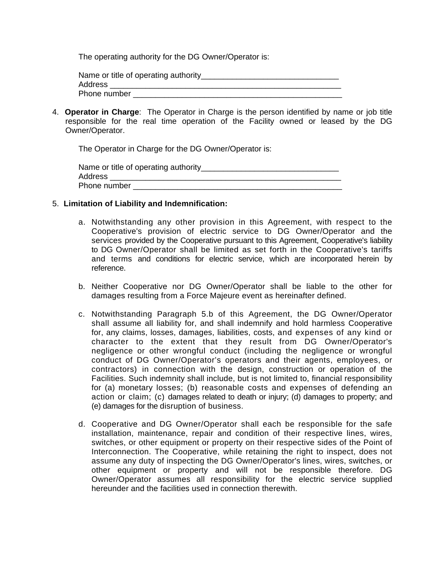The operating authority for the DG Owner/Operator is:

| Name or title of operating authority |  |
|--------------------------------------|--|
| Address                              |  |
| Phone number                         |  |

4. **Operator in Charge**: The Operator in Charge is the person identified by name or job title responsible for the real time operation of the Facility owned or leased by the DG Owner/Operator.

The Operator in Charge for the DG Owner/Operator is:

| Name or title of operating authority |
|--------------------------------------|
| Address                              |
| Phone number                         |

## 5. **Limitation of Liability and Indemnification:**

- a. Notwithstanding any other provision in this Agreement, with respect to the Cooperative's provision of electric service to DG Owner/Operator and the services provided by the Cooperative pursuant to this Agreement, Cooperative's liability to DG Owner/Operator shall be limited as set forth in the Cooperative's tariffs and terms and conditions for electric service, which are incorporated herein by reference.
- b. Neither Cooperative nor DG Owner/Operator shall be liable to the other for damages resulting from a Force Majeure event as hereinafter defined.
- c. Notwithstanding Paragraph 5.b of this Agreement, the DG Owner/Operator shall assume all liability for, and shall indemnify and hold harmless Cooperative for, any claims, losses, damages, liabilities, costs, and expenses of any kind or character to the extent that they result from DG Owner/Operator's negligence or other wrongful conduct (including the negligence or wrongful conduct of DG Owner/Operator's operators and their agents, employees, or contractors) in connection with the design, construction or operation of the Facilities. Such indemnity shall include, but is not limited to, financial responsibility for (a) monetary losses; (b) reasonable costs and expenses of defending an action or claim; (c) damages related to death or injury; (d) damages to property; and (e) damages for the disruption of business.
- d. Cooperative and DG Owner/Operator shall each be responsible for the safe installation, maintenance, repair and condition of their respective lines, wires, switches, or other equipment or property on their respective sides of the Point of Interconnection. The Cooperative, while retaining the right to inspect, does not assume any duty of inspecting the DG Owner/Operator's lines, wires, switches, or other equipment or property and will not be responsible therefore. DG Owner/Operator assumes all responsibility for the electric service supplied hereunder and the facilities used in connection therewith.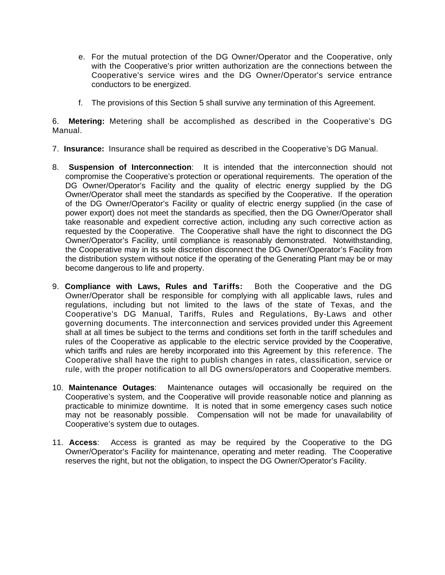- e. For the mutual protection of the DG Owner/Operator and the Cooperative, only with the Cooperative's prior written authorization are the connections between the Cooperative's service wires and the DG Owner/Operator's service entrance conductors to be energized.
- f. The provisions of this Section 5 shall survive any termination of this Agreement.

6. **Metering:** Metering shall be accomplished as described in the Cooperative's DG Manual.

- 7. **Insurance:** Insurance shall be required as described in the Cooperative's DG Manual.
- 8. **Suspension of Interconnection**: It is intended that the interconnection should not compromise the Cooperative's protection or operational requirements. The operation of the DG Owner/Operator's Facility and the quality of electric energy supplied by the DG Owner/Operator shall meet the standards as specified by the Cooperative. If the operation of the DG Owner/Operator's Facility or quality of electric energy supplied (in the case of power export) does not meet the standards as specified, then the DG Owner/Operator shall take reasonable and expedient corrective action, including any such corrective action as requested by the Cooperative. The Cooperative shall have the right to disconnect the DG Owner/Operator's Facility, until compliance is reasonably demonstrated. Notwithstanding, the Cooperative may in its sole discretion disconnect the DG Owner/Operator's Facility from the distribution system without notice if the operating of the Generating Plant may be or may become dangerous to life and property.
- 9. **Compliance with Laws, Rules and Tariffs:** Both the Cooperative and the DG Owner/Operator shall be responsible for complying with all applicable laws, rules and regulations, including but not limited to the laws of the state of Texas, and the Cooperative's DG Manual, Tariffs, Rules and Regulations, By-Laws and other governing documents. The interconnection and services provided under this Agreement shall at all times be subject to the terms and conditions set forth in the tariff schedules and rules of the Cooperative as applicable to the electric service provided by the Cooperative, which tariffs and rules are hereby incorporated into this Agreement by this reference. The Cooperative shall have the right to publish changes in rates, classification, service or rule, with the proper notification to all DG owners/operators and Cooperative members.
- 10. **Maintenance Outages**: Maintenance outages will occasionally be required on the Cooperative's system, and the Cooperative will provide reasonable notice and planning as practicable to minimize downtime. It is noted that in some emergency cases such notice may not be reasonably possible. Compensation will not be made for unavailability of Cooperative's system due to outages.
- 11. **Access**: Access is granted as may be required by the Cooperative to the DG Owner/Operator's Facility for maintenance, operating and meter reading. The Cooperative reserves the right, but not the obligation, to inspect the DG Owner/Operator's Facility.